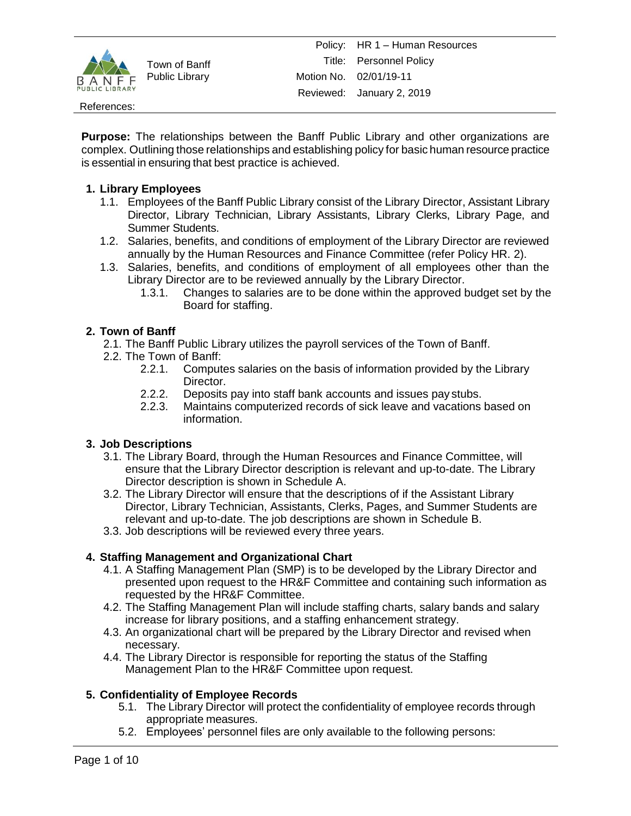

References:

**Purpose:** The relationships between the Banff Public Library and other organizations are complex. Outlining those relationships and establishing policy for basic human resource practice is essential in ensuring that best practice is achieved.

# **1. Library Employees**

- 1.1. Employees of the Banff Public Library consist of the Library Director, Assistant Library Director, Library Technician, Library Assistants, Library Clerks, Library Page, and Summer Students.
- 1.2. Salaries, benefits, and conditions of employment of the Library Director are reviewed annually by the Human Resources and Finance Committee (refer Policy HR. 2).
- 1.3. Salaries, benefits, and conditions of employment of all employees other than the Library Director are to be reviewed annually by the Library Director.
	- 1.3.1. Changes to salaries are to be done within the approved budget set by the Board for staffing.

# **2. Town of Banff**

- 2.1. The Banff Public Library utilizes the payroll services of the Town of Banff.
- 2.2. The Town of Banff:
	- 2.2.1. Computes salaries on the basis of information provided by the Library Director.
	- 2.2.2. Deposits pay into staff bank accounts and issues pay stubs.
	- 2.2.3. Maintains computerized records of sick leave and vacations based on information.

# **3. Job Descriptions**

- 3.1. The Library Board, through the Human Resources and Finance Committee, will ensure that the Library Director description is relevant and up-to-date. The Library Director description is shown in Schedule A.
- 3.2. The Library Director will ensure that the descriptions of if the Assistant Library Director, Library Technician, Assistants, Clerks, Pages, and Summer Students are relevant and up-to-date. The job descriptions are shown in Schedule B.
- 3.3. Job descriptions will be reviewed every three years.

# **4. Staffing Management and Organizational Chart**

- 4.1. A Staffing Management Plan (SMP) is to be developed by the Library Director and presented upon request to the HR&F Committee and containing such information as requested by the HR&F Committee.
- 4.2. The Staffing Management Plan will include staffing charts, salary bands and salary increase for library positions, and a staffing enhancement strategy.
- 4.3. An organizational chart will be prepared by the Library Director and revised when necessary.
- 4.4. The Library Director is responsible for reporting the status of the Staffing Management Plan to the HR&F Committee upon request.

# **5. Confidentiality of Employee Records**

- 5.1. The Library Director will protect the confidentiality of employee records through appropriate measures.
- 5.2. Employees' personnel files are only available to the following persons: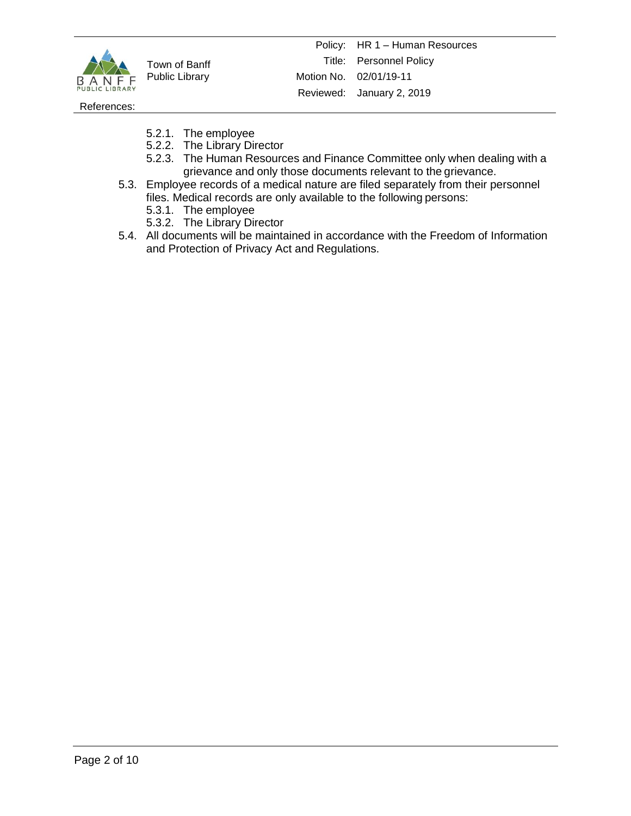

References:

- 5.2.1. The employee
- 5.2.2. The Library Director
- 5.2.3. The Human Resources and Finance Committee only when dealing with a grievance and only those documents relevant to the grievance.
- 5.3. Employee records of a medical nature are filed separately from their personnel files. Medical records are only available to the following persons:
	- 5.3.1. The employee
	- 5.3.2. The Library Director
- 5.4. All documents will be maintained in accordance with the Freedom of Information and Protection of Privacy Act and Regulations.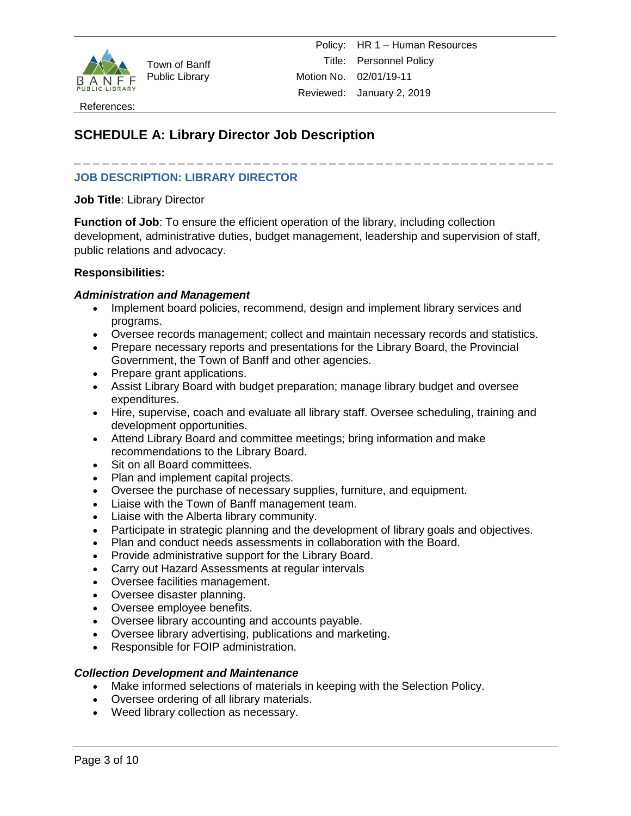

References:

# **SCHEDULE A: Library Director Job Description**

# **JOB DESCRIPTION: LIBRARY DIRECTOR**

**Job Title**: Library Director

**Function of Job**: To ensure the efficient operation of the library, including collection development, administrative duties, budget management, leadership and supervision of staff, public relations and advocacy.

\_ \_ \_ \_ \_ \_ \_ \_ \_ \_ \_ \_ \_ \_ \_ \_ \_ \_ \_ \_ \_ \_ \_ \_ \_ \_ \_ \_ \_ \_ \_ \_ \_ \_ \_ \_ \_ \_ \_ \_ \_ \_ \_ \_ \_ \_ \_ \_ \_ \_ \_

## **Responsibilities:**

## *Administration and Management*

- Implement board policies, recommend, design and implement library services and programs.
- Oversee records management; collect and maintain necessary records and statistics.
- Prepare necessary reports and presentations for the Library Board, the Provincial Government, the Town of Banff and other agencies.
- Prepare grant applications.
- Assist Library Board with budget preparation; manage library budget and oversee expenditures.
- Hire, supervise, coach and evaluate all library staff. Oversee scheduling, training and development opportunities.
- Attend Library Board and committee meetings; bring information and make recommendations to the Library Board.
- Sit on all Board committees.
- Plan and implement capital projects.
- Oversee the purchase of necessary supplies, furniture, and equipment.
- Liaise with the Town of Banff management team.
- Liaise with the Alberta library community.
- Participate in strategic planning and the development of library goals and objectives.
- Plan and conduct needs assessments in collaboration with the Board.
- Provide administrative support for the Library Board.
- Carry out Hazard Assessments at regular intervals
- Oversee facilities management.
- Oversee disaster planning.
- Oversee employee benefits.
- Oversee library accounting and accounts payable.
- Oversee library advertising, publications and marketing.
- Responsible for FOIP administration.

#### *Collection Development and Maintenance*

- Make informed selections of materials in keeping with the Selection Policy.
- Oversee ordering of all library materials.
- Weed library collection as necessary.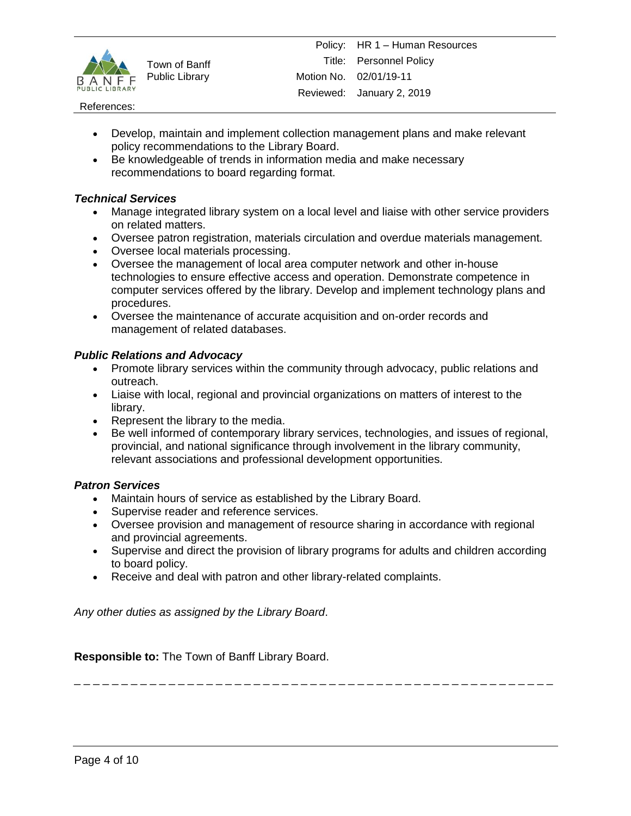

#### References:

- Develop, maintain and implement collection management plans and make relevant policy recommendations to the Library Board.
- Be knowledgeable of trends in information media and make necessary recommendations to board regarding format.

## *Technical Services*

- Manage integrated library system on a local level and liaise with other service providers on related matters.
- Oversee patron registration, materials circulation and overdue materials management.
- Oversee local materials processing.
- Oversee the management of local area computer network and other in-house technologies to ensure effective access and operation. Demonstrate competence in computer services offered by the library. Develop and implement technology plans and procedures.
- Oversee the maintenance of accurate acquisition and on-order records and management of related databases.

## *Public Relations and Advocacy*

- Promote library services within the community through advocacy, public relations and outreach.
- Liaise with local, regional and provincial organizations on matters of interest to the library.
- Represent the library to the media.
- Be well informed of contemporary library services, technologies, and issues of regional, provincial, and national significance through involvement in the library community, relevant associations and professional development opportunities.

#### *Patron Services*

- Maintain hours of service as established by the Library Board.
- Supervise reader and reference services.
- Oversee provision and management of resource sharing in accordance with regional and provincial agreements.
- Supervise and direct the provision of library programs for adults and children according to board policy.
- Receive and deal with patron and other library-related complaints.

*Any other duties as assigned by the Library Board*.

**Responsible to:** The Town of Banff Library Board.

\_ \_ \_ \_ \_ \_ \_ \_ \_ \_ \_ \_ \_ \_ \_ \_ \_ \_ \_ \_ \_ \_ \_ \_ \_ \_ \_ \_ \_ \_ \_ \_ \_ \_ \_ \_ \_ \_ \_ \_ \_ \_ \_ \_ \_ \_ \_ \_ \_ \_ \_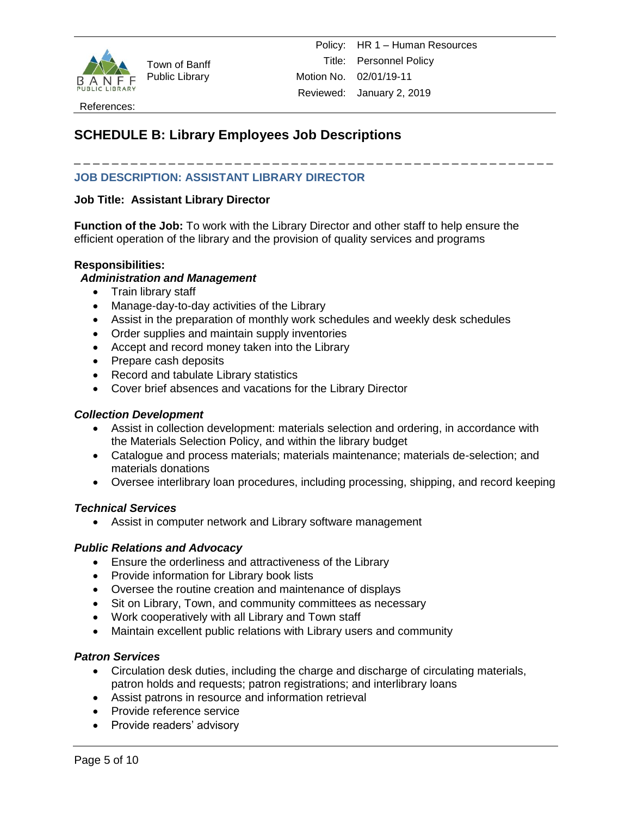

# **SCHEDULE B: Library Employees Job Descriptions**

# **JOB DESCRIPTION: ASSISTANT LIBRARY DIRECTOR**

# **Job Title: Assistant Library Director**

**Function of the Job:** To work with the Library Director and other staff to help ensure the efficient operation of the library and the provision of quality services and programs

\_ \_ \_ \_ \_ \_ \_ \_ \_ \_ \_ \_ \_ \_ \_ \_ \_ \_ \_ \_ \_ \_ \_ \_ \_ \_ \_ \_ \_ \_ \_ \_ \_ \_ \_ \_ \_ \_ \_ \_ \_ \_ \_ \_ \_ \_ \_ \_ \_ \_ \_

#### **Responsibilities:**

#### *Administration and Management*

- Train library staff
- Manage-day-to-day activities of the Library
- Assist in the preparation of monthly work schedules and weekly desk schedules
- Order supplies and maintain supply inventories
- Accept and record money taken into the Library
- Prepare cash deposits
- Record and tabulate Library statistics
- Cover brief absences and vacations for the Library Director

#### *Collection Development*

- Assist in collection development: materials selection and ordering, in accordance with the Materials Selection Policy, and within the library budget
- Catalogue and process materials; materials maintenance; materials de-selection; and materials donations
- Oversee interlibrary loan procedures, including processing, shipping, and record keeping

#### *Technical Services*

Assist in computer network and Library software management

#### *Public Relations and Advocacy*

- Ensure the orderliness and attractiveness of the Library
- Provide information for Library book lists
- Oversee the routine creation and maintenance of displays
- Sit on Library, Town, and community committees as necessary
- Work cooperatively with all Library and Town staff
- Maintain excellent public relations with Library users and community

#### *Patron Services*

- Circulation desk duties, including the charge and discharge of circulating materials, patron holds and requests; patron registrations; and interlibrary loans
- Assist patrons in resource and information retrieval
- Provide reference service
- Provide readers' advisory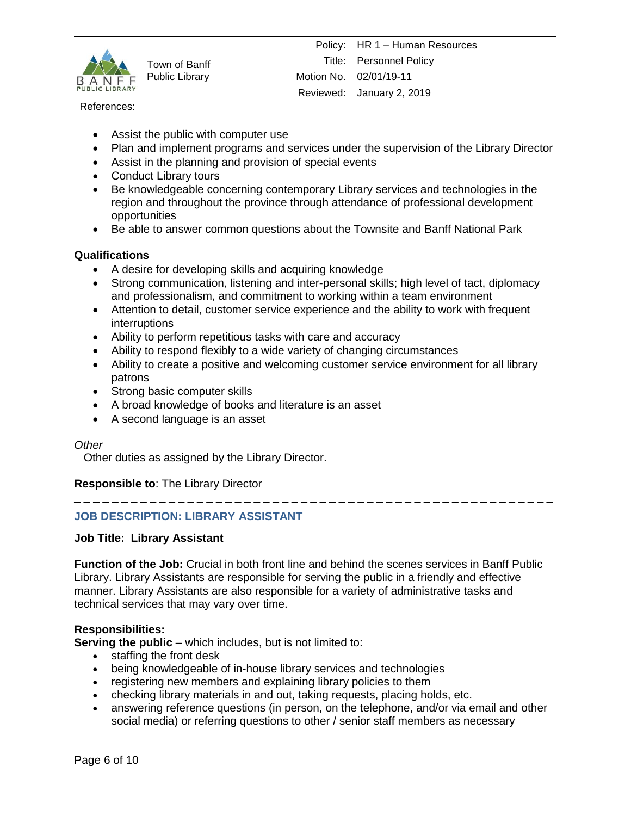

#### References:

- Assist the public with computer use
- Plan and implement programs and services under the supervision of the Library Director
- Assist in the planning and provision of special events
- Conduct Library tours
- Be knowledgeable concerning contemporary Library services and technologies in the region and throughout the province through attendance of professional development opportunities
- Be able to answer common questions about the Townsite and Banff National Park

# **Qualifications**

- A desire for developing skills and acquiring knowledge
- Strong communication, listening and inter-personal skills; high level of tact, diplomacy and professionalism, and commitment to working within a team environment
- Attention to detail, customer service experience and the ability to work with frequent interruptions
- Ability to perform repetitious tasks with care and accuracy
- Ability to respond flexibly to a wide variety of changing circumstances
- Ability to create a positive and welcoming customer service environment for all library patrons
- Strong basic computer skills
- A broad knowledge of books and literature is an asset
- A second language is an asset

#### *Other*

Other duties as assigned by the Library Director.

**Responsible to**: The Library Director

\_ \_ \_ \_ \_ \_ \_ \_ \_ \_ \_ \_ \_ \_ \_ \_ \_ \_ \_ \_ \_ \_ \_ \_ \_ \_ \_ \_ \_ \_ \_ \_ \_ \_ \_ \_ \_ \_ \_ \_ \_ \_ \_ \_ \_ \_ \_ \_ \_ \_ \_

# **JOB DESCRIPTION: LIBRARY ASSISTANT**

#### **Job Title: Library Assistant**

**Function of the Job:** Crucial in both front line and behind the scenes services in Banff Public Library. Library Assistants are responsible for serving the public in a friendly and effective manner. Library Assistants are also responsible for a variety of administrative tasks and technical services that may vary over time.

# **Responsibilities:**

**Serving the public** – which includes, but is not limited to:

- staffing the front desk
- being knowledgeable of in-house library services and technologies
- registering new members and explaining library policies to them
- checking library materials in and out, taking requests, placing holds, etc.
- answering reference questions (in person, on the telephone, and/or via email and other social media) or referring questions to other / senior staff members as necessary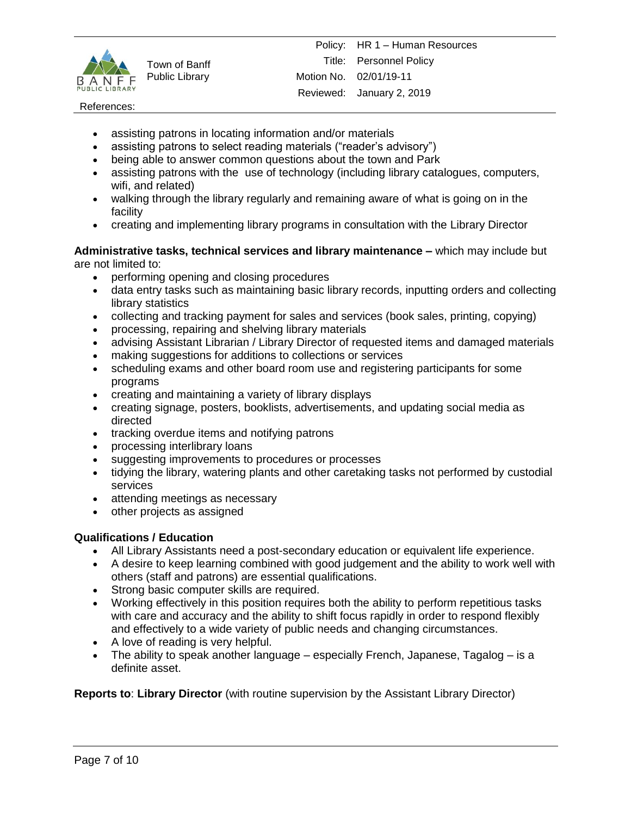

#### References:

- assisting patrons in locating information and/or materials
- assisting patrons to select reading materials ("reader's advisory")
- being able to answer common questions about the town and Park
- assisting patrons with the use of technology (including library catalogues, computers, wifi, and related)
- walking through the library regularly and remaining aware of what is going on in the facility
- creating and implementing library programs in consultation with the Library Director

#### **Administrative tasks, technical services and library maintenance –** which may include but are not limited to:

- performing opening and closing procedures
- data entry tasks such as maintaining basic library records, inputting orders and collecting library statistics
- collecting and tracking payment for sales and services (book sales, printing, copying)
- processing, repairing and shelving library materials
- advising Assistant Librarian / Library Director of requested items and damaged materials
- making suggestions for additions to collections or services
- scheduling exams and other board room use and registering participants for some programs
- creating and maintaining a variety of library displays
- creating signage, posters, booklists, advertisements, and updating social media as directed
- tracking overdue items and notifying patrons
- processing interlibrary loans
- suggesting improvements to procedures or processes
- tidying the library, watering plants and other caretaking tasks not performed by custodial services
- attending meetings as necessary
- other projects as assigned

# **Qualifications / Education**

- All Library Assistants need a post-secondary education or equivalent life experience.
- A desire to keep learning combined with good judgement and the ability to work well with others (staff and patrons) are essential qualifications.
- Strong basic computer skills are required.
- Working effectively in this position requires both the ability to perform repetitious tasks with care and accuracy and the ability to shift focus rapidly in order to respond flexibly and effectively to a wide variety of public needs and changing circumstances.
- A love of reading is very helpful.
- The ability to speak another language especially French, Japanese, Tagalog is a definite asset.

**Reports to**: **Library Director** (with routine supervision by the Assistant Library Director)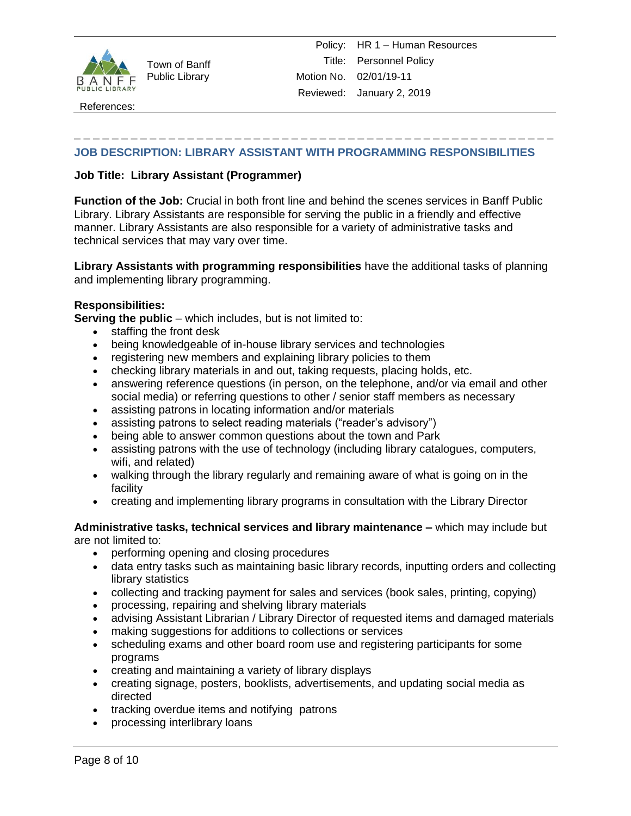

References:

# **JOB DESCRIPTION: LIBRARY ASSISTANT WITH PROGRAMMING RESPONSIBILITIES**

\_ \_ \_ \_ \_ \_ \_ \_ \_ \_ \_ \_ \_ \_ \_ \_ \_ \_ \_ \_ \_ \_ \_ \_ \_ \_ \_ \_ \_ \_ \_ \_ \_ \_ \_ \_ \_ \_ \_ \_ \_ \_ \_ \_ \_ \_ \_ \_ \_ \_ \_

# **Job Title: Library Assistant (Programmer)**

**Function of the Job:** Crucial in both front line and behind the scenes services in Banff Public Library. Library Assistants are responsible for serving the public in a friendly and effective manner. Library Assistants are also responsible for a variety of administrative tasks and technical services that may vary over time.

**Library Assistants with programming responsibilities** have the additional tasks of planning and implementing library programming.

# **Responsibilities:**

**Serving the public** – which includes, but is not limited to:

- staffing the front desk
- being knowledgeable of in-house library services and technologies
- registering new members and explaining library policies to them
- checking library materials in and out, taking requests, placing holds, etc.
- answering reference questions (in person, on the telephone, and/or via email and other social media) or referring questions to other / senior staff members as necessary
- assisting patrons in locating information and/or materials
- assisting patrons to select reading materials ("reader's advisory")
- being able to answer common questions about the town and Park
- assisting patrons with the use of technology (including library catalogues, computers, wifi, and related)
- walking through the library regularly and remaining aware of what is going on in the facility
- creating and implementing library programs in consultation with the Library Director

#### **Administrative tasks, technical services and library maintenance –** which may include but are not limited to:

- performing opening and closing procedures
- data entry tasks such as maintaining basic library records, inputting orders and collecting library statistics
- collecting and tracking payment for sales and services (book sales, printing, copying)
- processing, repairing and shelving library materials
- advising Assistant Librarian / Library Director of requested items and damaged materials
- making suggestions for additions to collections or services
- scheduling exams and other board room use and registering participants for some programs
- creating and maintaining a variety of library displays
- creating signage, posters, booklists, advertisements, and updating social media as directed
- tracking overdue items and notifying patrons
- processing interlibrary loans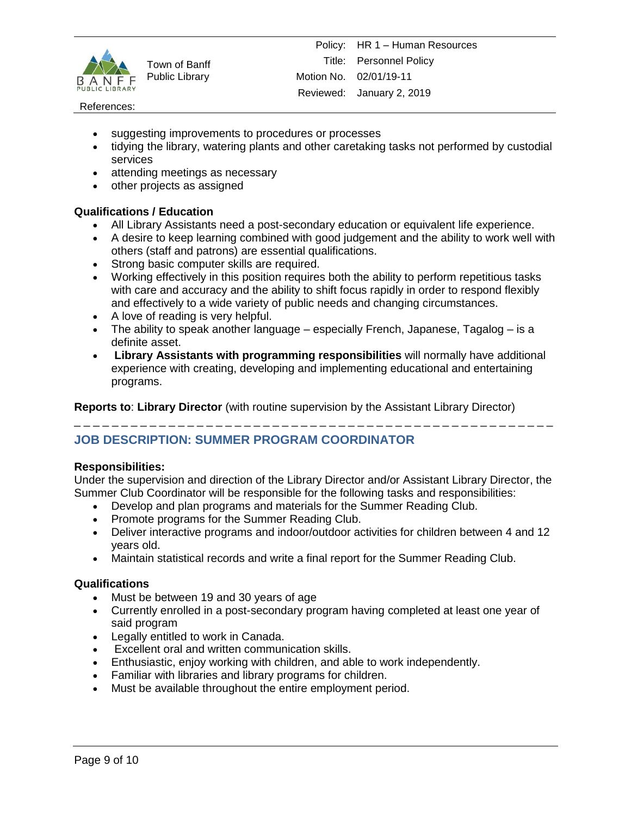

#### References:

- suggesting improvements to procedures or processes
- tidying the library, watering plants and other caretaking tasks not performed by custodial services
- attending meetings as necessary
- other projects as assigned

# **Qualifications / Education**

- All Library Assistants need a post-secondary education or equivalent life experience.
- A desire to keep learning combined with good judgement and the ability to work well with others (staff and patrons) are essential qualifications.
- Strong basic computer skills are required.
- Working effectively in this position requires both the ability to perform repetitious tasks with care and accuracy and the ability to shift focus rapidly in order to respond flexibly and effectively to a wide variety of public needs and changing circumstances.
- A love of reading is very helpful.
- The ability to speak another language especially French, Japanese, Tagalog is a definite asset.
- **Library Assistants with programming responsibilities** will normally have additional experience with creating, developing and implementing educational and entertaining programs.

**Reports to**: **Library Director** (with routine supervision by the Assistant Library Director)

# **JOB DESCRIPTION: SUMMER PROGRAM COORDINATOR**

# **Responsibilities:**

Under the supervision and direction of the Library Director and/or Assistant Library Director, the Summer Club Coordinator will be responsible for the following tasks and responsibilities:

\_ \_ \_ \_ \_ \_ \_ \_ \_ \_ \_ \_ \_ \_ \_ \_ \_ \_ \_ \_ \_ \_ \_ \_ \_ \_ \_ \_ \_ \_ \_ \_ \_ \_ \_ \_ \_ \_ \_ \_ \_ \_ \_ \_ \_ \_ \_ \_ \_ \_ \_

- Develop and plan programs and materials for the Summer Reading Club.
- Promote programs for the Summer Reading Club.
- Deliver interactive programs and indoor/outdoor activities for children between 4 and 12 years old.
- Maintain statistical records and write a final report for the Summer Reading Club.

# **Qualifications**

- Must be between 19 and 30 years of age
- Currently enrolled in a post-secondary program having completed at least one year of said program
- Legally entitled to work in Canada.
- Excellent oral and written communication skills.
- Enthusiastic, enjoy working with children, and able to work independently.
- Familiar with libraries and library programs for children.
- Must be available throughout the entire employment period.